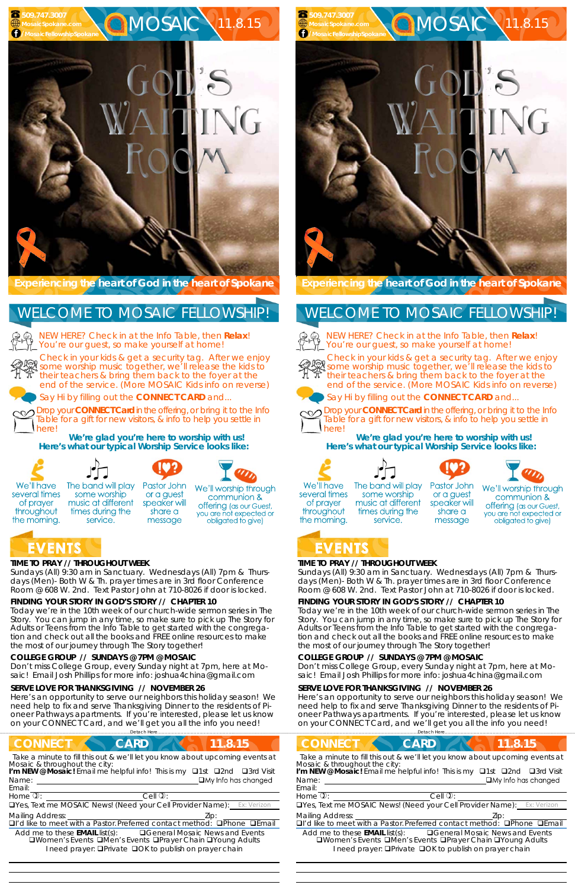## **TIME TO PRAY // THROUGHOUT WEEK**

*Sundays* (All) 9:30 am in Sanctuary. *Wednesdays* (All) 7pm & *Thursdays* (Men)- Both W & Th. prayer times are in 3rd floor Conference Room @ 608 W. 2nd. Text Pastor John at 710-8026 if door is locked.

## **FINDING YOUR STORY IN GOD'S STORY // CHAPTER 10**

some worship

music at different

times during the

service.

Today we're in the 10th week of our church-wide sermon series in The Story. You can jump in any time, so make sure to pick up The Story for Adults or Teens from the Info Table to get started with the congregation and check out all the books and FREE online resources to make the most of our journey through The Story together!

#### **COLLEGE GROUP // SUNDAYS @ 7PM @ MOSAIC**

NEW HERE? Check in at the Info Table, then **Relax**! You're our guest, so make yourself at home!

Don't miss College Group, every Sunday night at 7pm, here at Mosaic! Email Josh Phillips for more info: joshua4china@gmail.com

#### **SERVE LOVE FOR THANKSGIVING // NOVEMBER 26**

Here's an opportunity to serve our neighbors this holiday season! We need help to fix and serve Thanksgiving Dinner to the residents of Pioneer Pathways apartments. If you're interested, please let us know on your CONNECT Card, and we'll get you all the info you need!

**Experiencing the heart of God in the heart of Spokane** 

Check in your kids & get a security tag. After we enjoy some worship music together, we'll release the kids to their teachers & bring them back to the foyer at the end of the service. (More MOSAIC Kids info on reverse)



Say Hi by filling out the **CONNECT CARD** and...

Drop your **CONNECT Card** in the offering, or bring it to the Info Table for a gift for new visitors, & info to help you settle in here!

**We're glad you're here to worship with us! Here's what our typical Worship Service looks like:** 



several times

of prayer

throughout

the morning.

NEW HERE? Check in at the Info Table, then **Relax**! You're our guest, so make yourself at home!



## WELCOME TO MOSAIC FELLOWSHIP!

Drop your **CONNECT Card** in the offering, or bring it to the Info Table for a gift for new visitors, & info to help you settle in herel

  The band will play



or a guest

speaker will

share a

message





We'll worship through communion & **offering** (as our Guest, you are not expected or obligated to give)

## **EVENTS**

## **TIME TO PRAY // THROUGHOUT WEEK**

*Sundays* (All) 9:30 am in Sanctuary. *Wednesdays* (All) 7pm & *Thursdays* (Men)- Both W & Th. prayer times are in 3rd floor Conference Room @ 608 W. 2nd. Text Pastor John at 710-8026 if door is locked.

## **FINDING YOUR STORY IN GOD'S STORY // CHAPTER 10**

| <b>CONNECT</b><br><b>CARD</b><br>(11.8.15)                                                                                                                                                                                                 | <b>CONNECT</b>                                                        |
|--------------------------------------------------------------------------------------------------------------------------------------------------------------------------------------------------------------------------------------------|-----------------------------------------------------------------------|
| Take a minute to fill this out & we'll let you know about upcoming events at<br>Mosaic & throughout the city:<br>I'm NEW @ Mosaic! Email me helpful info! This is my <b>Q1st Q2nd</b><br>□3rd Visit<br>$\Box$ My Info has changed<br>Name: | Take a minute to f<br>Mosaic & througho<br>I'm NEW @ Mosaic!<br>Name: |
| Email:                                                                                                                                                                                                                                     | Email:                                                                |
| Home $\overline{v}$ :<br>Cell $\overline{\mathbb{O}}$ :                                                                                                                                                                                    | Home $\mathbb{Q}$ :                                                   |
| <b>OYes, Text me MOSAIC News! (Need your Cell Provider Name):</b> Ex: Verizon                                                                                                                                                              | <b>O</b> Yes, Text me MOS                                             |
| <b>Mailing Address:</b><br>Zip:<br>□I'd like to meet with a Pastor. Preferred contact method: □Phone □Email                                                                                                                                | <b>Mailing Address:</b><br>$\Box$ I'd like to meet wi                 |
| <b>□ General Mosaic News and Events</b><br>Add me to these <b>EMAIL</b> list(s):<br>□Women's Events □Men's Events □Prayer Chain □Young Adults<br>I need prayer: <b>QPrivate QOK</b> to publish on prayer chain                             | Add me to these<br><b>OWomen's Ey</b><br>need pr                      |

...<br>Detach Here..

**CARD 4 11.8.15** 

Today we're in the 10th week of our church-wide sermon series in The Story. You can jump in any time, so make sure to pick up The Story for Adults or Teens from the Info Table to get started with the congregation and check out all the books and FREE online resources to make the most of our journey through The Story together!

## **COLLEGE GROUP // SUNDAYS @ 7PM @ MOSAIC**

Don't miss College Group, every Sunday night at 7pm, here at Mosaic! Email Josh Phillips for more info: joshua4china@gmail.com

### **SERVE LOVE FOR THANKSGIVING // NOVEMBER 26**

Here's an opportunity to serve our neighbors this holiday season! We need help to fix and serve Thanksgiving Dinner to the residents of Pioneer Pathways apartments. If you're interested, please let us know on your CONNECT Card, and we'll get you all the info you need!

Check in your kids & get a security tag. After we enjoy some worship music together, we'll release the kids to their teachers & bring them back to the foyer at the end of the service. (More MOSAIC Kids info on reverse)





Say Hi by filling out the **CONNECT CARD** and...



**We're glad you're here to worship with us! Here's what our typical Worship Service looks like:** 



of prayer

throughout







We'll worship through

the morning.

## WELCOME TO MOSAIC FELLOWSHIP!



| Take a minute to fill this out & we'll let you know about upcoming events at                                                        |                            |
|-------------------------------------------------------------------------------------------------------------------------------------|----------------------------|
| <i>Mosaic &amp; throughout the city:</i><br>I' <b>m NEW @ Mosaic!</b> Email me helpful info! This is my □1st □2nd □3rd Visit        |                            |
| Name:                                                                                                                               | $\Box$ My Info has changed |
| Email:                                                                                                                              |                            |
| Home $\overline{1}$ :<br>Cell $\mathbb{Q}$ :                                                                                        |                            |
| <b>TYes, Text me MOSAIC News! (Need your Cell Provider Name):</b> Ex: Verizon                                                       |                            |
| <b>Mailing Address:</b>                                                                                                             | Lip:                       |
| □I'd like to meet with a Pastor. Preferred contact method: □Phone □Email                                                            |                            |
| Add me to these $EMAIL$ list(s): $\Box$ General Mosaic News and Events<br>□Women's Events □Men's Events □Prayer Chain □Young Adults |                            |

 

#### The band will play some worship music at different times during the service. message



communion & **offering** (as our Guest, you are not expected or obligated to give)

# **EVENTS**